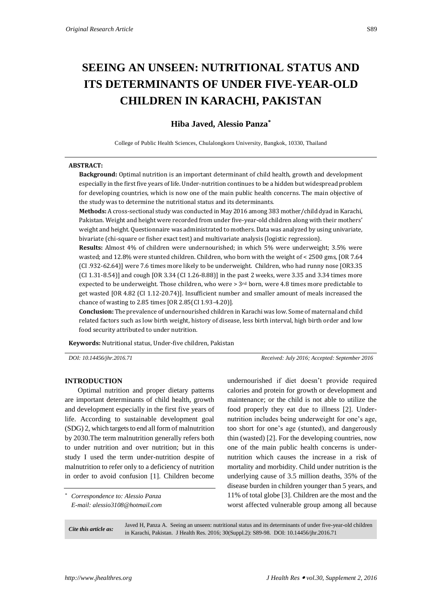# **SEEING AN UNSEEN: NUTRITIONAL STATUS AND ITS DETERMINANTS OF UNDER FIVE-YEAR-OLD CHILDREN IN KARACHI, PAKISTAN**

# **Hiba Javed, Alessio Panza\***

College of Public Health Sciences, Chulalongkorn University, Bangkok, 10330, Thailand

#### **ABSTRACT:**

**Background:** Optimal nutrition is an important determinant of child health, growth and development especially in the first five years of life. Under-nutrition continues to be a hidden but widespread problem for developing countries, which is now one of the main public health concerns. The main objective of the study was to determine the nutritional status and its determinants.

**Methods:** A cross-sectional study was conducted in May 2016 among 383 mother/child dyad in Karachi, Pakistan. Weight and height were recorded from under five-year-old children along with their mothers' weight and height. Questionnaire was administrated to mothers. Data was analyzed by using univariate, bivariate (chi-square or fisher exact test) and multivariate analysis (logistic regression).

**Results:** Almost 4% of children were undernourished; in which 5% were underweight; 3.5% were wasted; and 12.8% were stunted children. Children, who born with the weight of < 2500 gms, [OR 7.64 (CI .932-62.64)] were 7.6 times more likely to be underweight. Children, who had runny nose [OR3.35 (CI 1.31-8.54)] and cough [OR 3.34 (CI 1.26-8.88)] in the past 2 weeks, were 3.35 and 3.34 times more expected to be underweight. Those children, who were  $> 3<sup>rd</sup>$  born, were 4.8 times more predictable to get wasted [OR 4.82 (CI 1.12-20.74)]. Insufficient number and smaller amount of meals increased the chance of wasting to 2.85 times [OR 2.85(CI 1.93-4.20)].

**Conclusion:** The prevalence of undernourished children in Karachi was low. Some of maternal and child related factors such as low birth weight, history of disease, less birth interval, high birth order and low food security attributed to under nutrition.

**Keywords:** Nutritional status, Under-five children, Pakistan

*DOI: 10.14456/jhr.2016.71 Received: July 2016; Accepted: September 2016*

## **INTRODUCTION**

Optimal nutrition and proper dietary patterns are important determinants of child health, growth and development especially in the first five years of life. According to sustainable development goal (SDG) 2, which targets to end all form of malnutrition by 2030.The term malnutrition generally refers both to under nutrition and over nutrition; but in this study I used the term under-nutrition despite of malnutrition to refer only to a deficiency of nutrition in order to avoid confusion [1]. Children become

*\* Correspondence to: Alessio Panza E-mail: alessio3108@hotmail.com* undernourished if diet doesn't provide required calories and protein for growth or development and maintenance; or the child is not able to utilize the food properly they eat due to illness [2]. Undernutrition includes being underweight for one's age, too short for one's age (stunted), and dangerously thin (wasted) [2]. For the developing countries, now one of the main public health concerns is undernutrition which causes the increase in a risk of mortality and morbidity. Child under nutrition is the underlying cause of 3.5 million deaths, 35% of the disease burden in children younger than 5 years, and 11% of total globe [3]. Children are the most and the worst affected vulnerable group among all because

*Cite this article as:* Javed H, Panza A. Seeing an unseen: nutritional status and its determinants of under five-year-old children in Karachi, Pakistan. J Health Res. 2016; 30(Suppl.2): S89-98. DOI: 10.14456/jhr.2016.71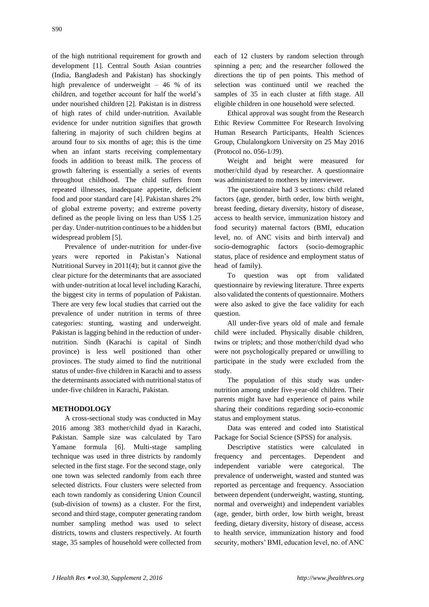of the high nutritional requirement for growth and development [1]. Central South Asian countries (India, Bangladesh and Pakistan) has shockingly high prevalence of underweight – 46 % of its children, and together account for half the world's under nourished children [2]. Pakistan is in distress of high rates of child under-nutrition. Available evidence for under nutrition signifies that growth faltering in majority of such children begins at around four to six months of age; this is the time when an infant starts receiving complementary foods in addition to breast milk. The process of growth faltering is essentially a series of events throughout childhood. The child suffers from repeated illnesses, inadequate appetite, deficient food and poor standard care [4]. Pakistan shares 2% of global extreme poverty; and extreme poverty defined as the people living on less than US\$ 1.25 per day. Under-nutrition continues to be a hidden but widespread problem [5].

Prevalence of under-nutrition for under-five years were reported in Pakistan's National Nutritional Survey in 2011(4); but it cannot give the clear picture for the determinants that are associated with under-nutrition at local level including Karachi, the biggest city in terms of population of Pakistan. There are very few local studies that carried out the prevalence of under nutrition in terms of three categories: stunting, wasting and underweight. Pakistan is lagging behind in the reduction of undernutrition. Sindh (Karachi is capital of Sindh province) is less well positioned than other provinces. The study aimed to find the nutritional status of under-five children in Karachi and to assess the determinants associated with nutritional status of under-five children in Karachi, Pakistan.

# **METHODOLOGY**

A cross-sectional study was conducted in May 2016 among 383 mother/child dyad in Karachi, Pakistan. Sample size was calculated by Taro Yamane formula [6]. Multi-stage sampling technique was used in three districts by randomly selected in the first stage. For the second stage, only one town was selected randomly from each three selected districts. Four clusters were selected from each town randomly as considering Union Council (sub-division of towns) as a cluster. For the first, second and third stage, computer generating random number sampling method was used to select districts, towns and clusters respectively. At fourth stage, 35 samples of household were collected from

each of 12 clusters by random selection through spinning a pen; and the researcher followed the directions the tip of pen points. This method of selection was continued until we reached the samples of 35 in each cluster at fifth stage. All eligible children in one household were selected.

Ethical approval was sought from the Research Ethic Review Committee For Research Involving Human Research Participants, Health Sciences Group, Chulalongkorn University on 25 May 2016 (Protocol no. 056-1/J9).

Weight and height were measured for mother/child dyad by researcher. A questionnaire was administrated to mothers by interviewer.

The questionnaire had 3 sections: child related factors (age, gender, birth order, low birth weight, breast feeding, dietary diversity, history of disease, access to health service, immunization history and food security) maternal factors (BMI, education level, no. of ANC visits and birth interval) and socio-demographic factors (socio-demographic status, place of residence and employment status of head of family).

To question was opt from validated questionnaire by reviewing literature. Three experts also validated the contents of questionnaire. Mothers were also asked to give the face validity for each question.

All under-five years old of male and female child were included. Physically disable children, twins or triplets; and those mother/child dyad who were not psychologically prepared or unwilling to participate in the study were excluded from the study.

The population of this study was undernutrition among under five-year-old children. Their parents might have had experience of pains while sharing their conditions regarding socio-economic status and employment status.

Data was entered and coded into Statistical Package for Social Science (SPSS) for analysis.

Descriptive statistics were calculated in frequency and percentages. Dependent and independent variable were categorical. The prevalence of underweight, wasted and stunted was reported as percentage and frequency. Association between dependent (underweight, wasting, stunting, normal and overweight) and independent variables (age, gender, birth order, low birth weight, breast feeding, dietary diversity, history of disease, access to health service, immunization history and food security, mothers' BMI, education level, no. of ANC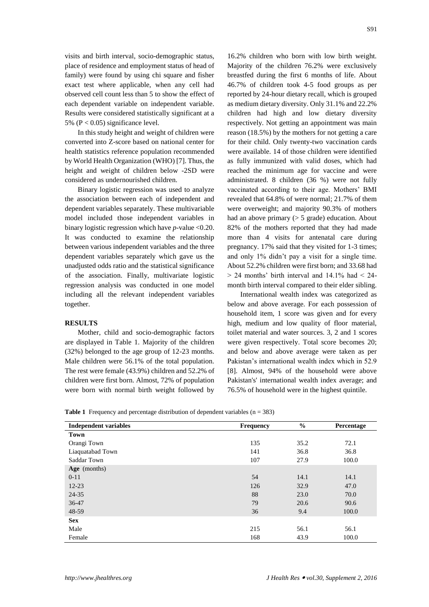visits and birth interval, socio-demographic status, place of residence and employment status of head of family) were found by using chi square and fisher exact test where applicable, when any cell had observed cell count less than 5 to show the effect of each dependent variable on independent variable. Results were considered statistically significant at a 5% ( $P < 0.05$ ) significance level.

In this study height and weight of children were converted into Z-score based on national center for health statistics reference population recommended by World Health Organization (WHO) [7]. Thus, the height and weight of children below -2SD were considered as undernourished children.

Binary logistic regression was used to analyze the association between each of independent and dependent variables separately. These multivariable model included those independent variables in binary logistic regression which have *p-*value <0.20. It was conducted to examine the relationship between various independent variables and the three dependent variables separately which gave us the unadjusted odds ratio and the statistical significance of the association. Finally, multivariate logistic regression analysis was conducted in one model including all the relevant independent variables together.

#### **RESULTS**

Mother, child and socio-demographic factors are displayed in Table 1. Majority of the children (32%) belonged to the age group of 12-23 months. Male children were 56.1% of the total population. The rest were female (43.9%) children and 52.2% of children were first born. Almost, 72% of population were born with normal birth weight followed by

16.2% children who born with low birth weight. Majority of the children 76.2% were exclusively breastfed during the first 6 months of life. About 46.7% of children took 4-5 food groups as per reported by 24-hour dietary recall, which is grouped as medium dietary diversity. Only 31.1% and 22.2% children had high and low dietary diversity respectively. Not getting an appointment was main reason (18.5%) by the mothers for not getting a care for their child. Only twenty-two vaccination cards were available. 14 of those children were identified as fully immunized with valid doses, which had reached the minimum age for vaccine and were administrated. 8 children (36 %) were not fully vaccinated according to their age. Mothers' BMI revealed that 64.8% of were normal; 21.7% of them were overweight; and majority 90.3% of mothers had an above primary  $($  > 5 grade) education. About 82% of the mothers reported that they had made more than 4 visits for antenatal care during pregnancy. 17% said that they visited for 1-3 times; and only 1% didn't pay a visit for a single time. About 52.2% children were first born; and 33.68 had  $> 24$  months' birth interval and 14.1% had  $< 24$ month birth interval compared to their elder sibling.

International wealth index was categorized as below and above average. For each possession of household item, 1 score was given and for every high, medium and low quality of floor material, toilet material and water sources. 3, 2 and 1 scores were given respectively. Total score becomes 20; and below and above average were taken as per Pakistan's international wealth index which in 52.9 [8]. Almost, 94% of the household were above Pakistan's' international wealth index average; and 76.5% of household were in the highest quintile.

|  | <b>Table 1</b> Frequency and percentage distribution of dependent variables $(n = 383)$ |  |  |  |  |  |
|--|-----------------------------------------------------------------------------------------|--|--|--|--|--|
|--|-----------------------------------------------------------------------------------------|--|--|--|--|--|

| <b>Independent variables</b> | <b>Frequency</b> | $\frac{6}{6}$ | Percentage |
|------------------------------|------------------|---------------|------------|
| Town                         |                  |               |            |
| Orangi Town                  | 135              | 35.2          | 72.1       |
| Liaquatabad Town             | 141              | 36.8          | 36.8       |
| Saddar Town                  | 107              | 27.9          | 100.0      |
| Age (months)                 |                  |               |            |
| $0 - 11$                     | 54               | 14.1          | 14.1       |
| $12 - 23$                    | 126              | 32.9          | 47.0       |
| 24-35                        | 88               | 23.0          | 70.0       |
| 36-47                        | 79               | 20.6          | 90.6       |
| 48-59                        | 36               | 9.4           | 100.0      |
| <b>Sex</b>                   |                  |               |            |
| Male                         | 215              | 56.1          | 56.1       |
| Female                       | 168              | 43.9          | 100.0      |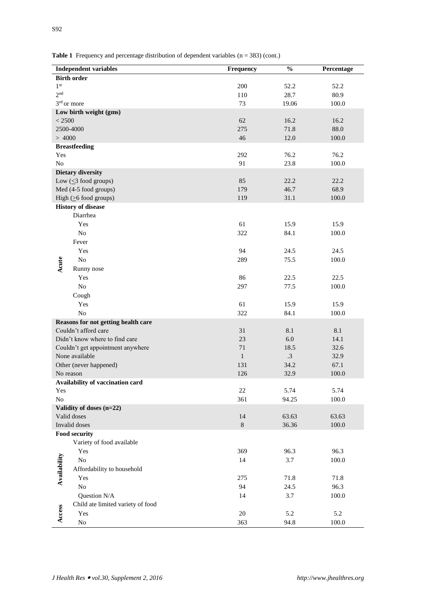|                          | <b>Independent variables</b>        | <b>Frequency</b> | $\frac{0}{0}$ | Percentage |  |
|--------------------------|-------------------------------------|------------------|---------------|------------|--|
| <b>Birth order</b>       |                                     |                  |               |            |  |
| 1 <sup>st</sup>          |                                     | 200              | 52.2          | 52.2       |  |
| 2 <sub>nd</sub>          |                                     | 110              | 28.7          | 80.9       |  |
| 3rd or more              |                                     | 73               | 19.06         | 100.0      |  |
|                          | Low birth weight (gms)              |                  |               |            |  |
| < 2500                   |                                     | 62               | 16.2          | 16.2       |  |
|                          | 2500-4000                           | 275              | 71.8          | 88.0       |  |
| >4000                    |                                     | 46               | 12.0          | 100.0      |  |
|                          | <b>Breastfeeding</b>                |                  |               |            |  |
| Yes                      |                                     | 292              | 76.2          | 76.2       |  |
| N <sub>o</sub>           |                                     | 91               | 23.8          | 100.0      |  |
|                          | Dietary diversity                   |                  |               |            |  |
|                          | Low $(\leq 3$ food groups)          | 85               | 22.2          | 22.2       |  |
|                          | Med (4-5 food groups)               | 179              | 46.7          | 68.9       |  |
|                          | High $( \geq 6$ food groups)        | 119              | 31.1          | 100.0      |  |
|                          | <b>History of disease</b>           |                  |               |            |  |
|                          | Diarrhea                            |                  |               |            |  |
|                          | Yes                                 | 61               | 15.9          | 15.9       |  |
|                          | No                                  | 322              | 84.1          | 100.0      |  |
|                          | Fever                               |                  |               |            |  |
|                          | Yes                                 | 94               | 24.5          | 24.5       |  |
| Acute                    | No                                  | 289              | 75.5          | 100.0      |  |
|                          | Runny nose                          |                  |               |            |  |
|                          | Yes                                 | 86               | 22.5          | 22.5       |  |
|                          | $\rm No$                            | 297              | 77.5          | 100.0      |  |
|                          | Cough                               |                  |               |            |  |
|                          | Yes                                 | 61               | 15.9          | 15.9       |  |
|                          | No                                  | 322              | 84.1          | 100.0      |  |
|                          | Reasons for not getting health care |                  |               |            |  |
|                          | Couldn't afford care                | 31               | 8.1           | 8.1        |  |
|                          | Didn't know where to find care      | 23               | 6.0           | 14.1       |  |
|                          | Couldn't get appointment anywhere   | 71               | 18.5          | 32.6       |  |
|                          | None available                      | $\mathbf{1}$     | $\cdot$ 3     | 32.9       |  |
|                          | Other (never happened)              | 131              | 34.2          | 67.1       |  |
| No reason                |                                     | 126              | 32.9          | 100.0      |  |
|                          | Availability of vaccination card    |                  |               |            |  |
| Yes                      |                                     | 22               | 5.74          | 5.74       |  |
| $\rm No$                 |                                     | 361              | 94.25         | $100.0\,$  |  |
| Validity of doses (n=22) |                                     |                  |               |            |  |
|                          | Valid doses                         | 14               | 63.63         | 63.63      |  |
|                          | Invalid doses                       | $8\,$            | 36.36         | $100.0\,$  |  |
| Food security            |                                     |                  |               |            |  |
|                          | Variety of food available           |                  |               |            |  |
| Availability             | Yes                                 | 369              | 96.3          | 96.3       |  |
|                          | No                                  | 14               | 3.7           | 100.0      |  |
|                          | Affordability to household          |                  |               |            |  |
|                          | Yes                                 | 275              | 71.8          | 71.8       |  |
|                          | No                                  | 94               | 24.5          | 96.3       |  |
|                          | Question N/A                        | 14               | 3.7           | $100.0\,$  |  |
|                          | Child ate limited variety of food   |                  |               |            |  |
| Access                   | Yes                                 | $20\,$           | 5.2           | 5.2        |  |
|                          | $\rm No$                            | 363              | 94.8          | 100.0      |  |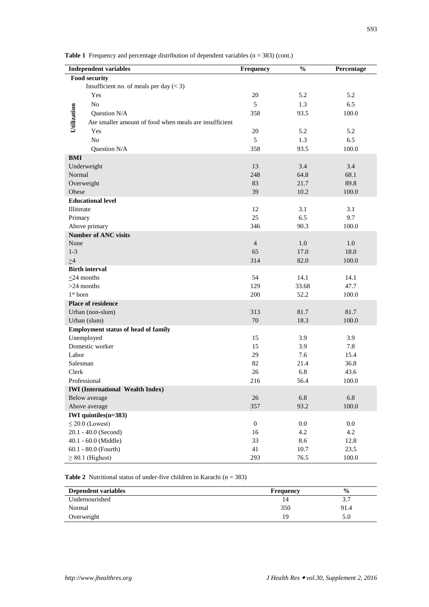Table 1 Frequency and percentage distribution of dependent variables (n = 383) (cont.)

| <b>Independent variables</b> |                                                        | Frequency        | $\frac{0}{0}$ | Percentage |
|------------------------------|--------------------------------------------------------|------------------|---------------|------------|
|                              | <b>Food security</b>                                   |                  |               |            |
|                              | Insufficient no. of meals per day $(< 3)$              |                  |               |            |
|                              | Yes                                                    | 20               | 5.2           | 5.2        |
|                              | No                                                     | 5                | 1.3           | 6.5        |
|                              | Question N/A                                           | 358              | 93.5          | 100.0      |
| Utilization                  | Ate smaller amount of food when meals are insufficient |                  |               |            |
|                              | Yes                                                    | 20               | 5.2           | 5.2        |
|                              | N <sub>0</sub>                                         | 5                | 1.3           | 6.5        |
|                              | Question N/A                                           | 358              | 93.5          | 100.0      |
| <b>BMI</b>                   |                                                        |                  |               |            |
|                              | Underweight                                            | 13               | 3.4           | 3.4        |
| Normal                       |                                                        | 248              | 64.8          | 68.1       |
|                              | Overweight                                             | 83               | 21.7          | 89.8       |
| Obese                        |                                                        | 39               | $10.2\,$      | 100.0      |
|                              | <b>Educational level</b>                               |                  |               |            |
| Illiterate                   |                                                        | 12               | 3.1           | 3.1        |
| Primary                      |                                                        | 25               | 6.5           | 9.7        |
|                              | Above primary                                          | 346              | 90.3          | 100.0      |
|                              | <b>Number of ANC visits</b>                            |                  |               |            |
| None                         |                                                        | $\overline{4}$   | 1.0           | 1.0        |
| $1-3$                        |                                                        | 65               | 17.0          | 18.0       |
| $\geq 4$                     |                                                        | 314              | 82.0          | 100.0      |
|                              | <b>Birth interval</b>                                  |                  |               |            |
|                              | $\leq$ 24 months                                       | 54               | 14.1          | 14.1       |
|                              | $>24$ months                                           | 129              | 33.68         | 47.7       |
| $1st$ born                   |                                                        | 200              | 52.2          | 100.0      |
|                              | Place of residence                                     |                  |               |            |
|                              | Urban (non-slum)                                       | 313              | 81.7          | 81.7       |
|                              | Urban (slum)                                           | 70               | 18.3          | 100.0      |
|                              | <b>Employment status of head of family</b>             |                  |               |            |
|                              | Unemployed                                             | 15               | 3.9           | 3.9        |
|                              | Domestic worker                                        | 15               | 3.9           | 7.8        |
| Labor                        |                                                        | 29               | 7.6           | 15.4       |
| Salesman                     |                                                        | 82               | 21.4          | 36.8       |
| Clerk                        |                                                        | 26               | 6.8           | 43.6       |
|                              | Professional                                           | 216              | 56.4          | 100.0      |
|                              | <b>IWI</b> (International Wealth Index)                |                  |               |            |
|                              | Below average                                          | 26               | 6.8           | 6.8        |
|                              | Above average                                          | 357              | 93.2          | 100.0      |
|                              | IWI quintiles(n=383)                                   |                  |               |            |
|                              | $\leq$ 20.0 (Lowest)                                   | $\boldsymbol{0}$ | $0.0\,$       | 0.0        |
|                              | 20.1 - 40.0 (Second)                                   | 16               | 4.2           | 4.2        |
|                              | 40.1 - 60.0 (Middle)                                   |                  | 8.6           | 12.8       |
|                              | 60.1 - 80.0 (Fourth)                                   | 41               | 10.7          | 23.5       |
|                              | $\geq 80.1$ (Highest)                                  | 293              | 76.5          | 100.0      |

**Table 2** Nutritional status of under-five children in Karachi ( $n = 383$ )

| Dependent variables | <b>Frequency</b> | $\frac{0}{0}$ |
|---------------------|------------------|---------------|
| Undernourished      |                  |               |
| Normal              | 350              | 91.4          |
| Overweight          | 19               | 5.0           |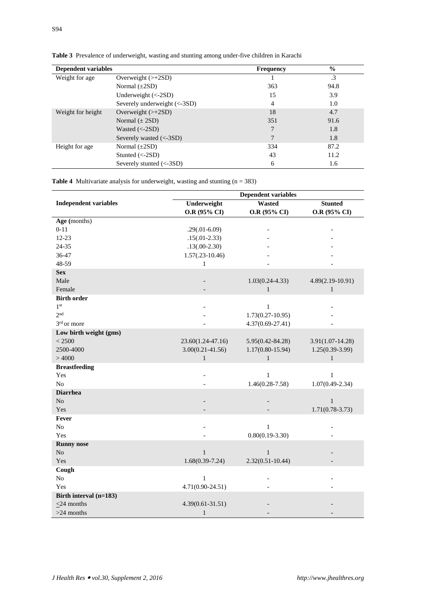| <b>Dependent variables</b> |                              | <b>Frequency</b> | $\frac{6}{9}$ |
|----------------------------|------------------------------|------------------|---------------|
| Weight for age             | Overweight $(\geq +2SD)$     |                  | .3            |
|                            | Normal $(\pm 2SD)$           | 363              | 94.8          |
|                            | Underweight $(<-2SD)$        | 15               | 3.9           |
|                            | Severely underweight (<-3SD) | $\overline{4}$   | 1.0           |
| Weight for height          | Overweight $(\geq +2SD)$     | 18               | 4.7           |
|                            | Normal $(\pm 2SD)$           | 351              | 91.6          |
|                            | Wasted $\left(<2SD\right)$   |                  | 1.8           |
|                            | Severely wasted $(<-3SD$ )   |                  | 1.8           |
| Height for age             | Normal $(\pm 2SD)$           | 334              | 87.2          |
|                            | Stunted $(<-2SD$ )           | 43               | 11.2          |
|                            | Severely stunted $(<-3SD$ )  | 6                | 1.6           |

**Table 3** Prevalence of underweight, wasting and stunting among under-five children in Karachi

**Table 4** Multivariate analysis for underweight, wasting and stunting (n = 383)

|                              | <b>Dependent variables</b> |                      |                      |
|------------------------------|----------------------------|----------------------|----------------------|
| <b>Independent variables</b> | Underweight                | <b>Wasted</b>        | <b>Stunted</b>       |
|                              | O.R (95% CI)               | O.R (95% CI)         | O.R (95% CI)         |
| Age (months)                 |                            |                      |                      |
| $0 - 11$                     | $.29(.01-6.09)$            |                      |                      |
| 12-23                        | $.15(.01-2.33)$            |                      |                      |
| 24-35                        | $.13(.00-2.30)$            |                      |                      |
| 36-47                        | $1.57(.23-10.46)$          |                      |                      |
| 48-59                        | $\mathbf{1}$               |                      |                      |
| <b>Sex</b>                   |                            |                      |                      |
| Male                         |                            | $1.03(0.24 - 4.33)$  | $4.89(2.19-10.91)$   |
| Female                       |                            | $\mathbf{1}$         | $\mathbf{1}$         |
| <b>Birth order</b>           |                            |                      |                      |
| 1 <sup>st</sup>              |                            | $\mathbf{1}$         |                      |
| 2 <sub>nd</sub>              |                            | $1.73(0.27-10.95)$   |                      |
| 3 <sup>rd</sup> or more      |                            | $4.37(0.69 - 27.41)$ |                      |
| Low birth weight (gms)       |                            |                      |                      |
| < 2500                       | 23.60(1.24-47.16)          | $5.95(0.42 - 84.28)$ | $3.91(1.07 - 14.28)$ |
| 2500-4000                    | $3.00(0.21 - 41.56)$       | $1.17(0.80 - 15.94)$ | $1.25(0.39-3.99)$    |
| >4000                        | $\mathbf{1}$               | $\mathbf{1}$         | $\mathbf{1}$         |
| <b>Breastfeeding</b>         |                            |                      |                      |
| Yes                          |                            | $\mathbf{1}$         | $\mathbf{1}$         |
| N <sub>o</sub>               |                            | $1.46(0.28 - 7.58)$  | $1.07(0.49 - 2.34)$  |
| <b>Diarrhea</b>              |                            |                      |                      |
| No                           |                            |                      | $\mathbf{1}$         |
| Yes                          |                            |                      | $1.71(0.78-3.73)$    |
| Fever                        |                            |                      |                      |
| N <sub>o</sub>               |                            | $\mathbf{1}$         |                      |
| Yes                          |                            | $0.80(0.19-3.30)$    |                      |
| <b>Runny nose</b>            |                            |                      |                      |
| No                           | $\mathbf{1}$               | $\mathbf{1}$         |                      |
| Yes                          | $1.68(0.39-7.24)$          | $2.32(0.51 - 10.44)$ |                      |
| Cough                        |                            |                      |                      |
| No                           | $\mathbf{1}$               |                      |                      |
| Yes                          | $4.71(0.90 - 24.51)$       |                      |                      |
| Birth interval (n=183)       |                            |                      |                      |
| $\leq$ 24 months             | $4.39(0.61 - 31.51)$       |                      |                      |
| $>24$ months                 | $\mathbf{1}$               |                      |                      |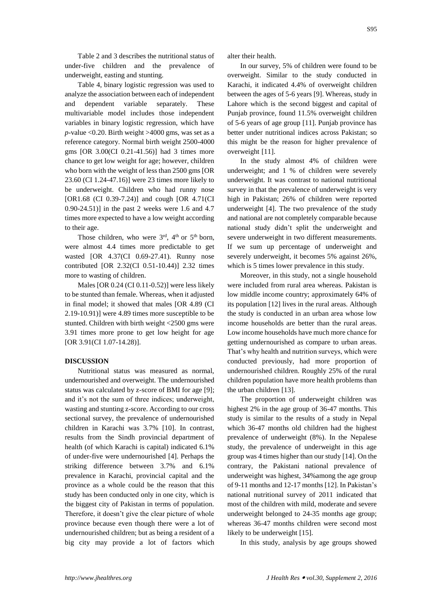Table 2 and 3 describes the nutritional status of under-five children and the prevalence of underweight, easting and stunting.

Table 4, binary logistic regression was used to analyze the association between each of independent and dependent variable separately. These multivariable model includes those independent variables in binary logistic regression, which have *p-*value <0.20. Birth weight >4000 gms, was set as a reference category. Normal birth weight 2500-4000 gms [OR 3.00(CI 0.21-41.56)] had 3 times more chance to get low weight for age; however, children who born with the weight of less than 2500 gms [OR 23.60 (CI 1.24-47.16)] were 23 times more likely to be underweight. Children who had runny nose [OR1.68 (CI 0.39-7.24)] and cough [OR 4.71(CI 0.90-24.51)] in the past 2 weeks were 1.6 and 4.7 times more expected to have a low weight according to their age.

Those children, who were  $3<sup>rd</sup>$ ,  $4<sup>th</sup>$  or  $5<sup>th</sup>$  born. were almost 4.4 times more predictable to get wasted [OR 4.37(CI 0.69-27.41). Runny nose contributed [OR 2.32(CI 0.51-10.44)] 2.32 times more to wasting of children.

Males [OR 0.24 (CI 0.11-0.52)] were less likely to be stunted than female. Whereas, when it adjusted in final model; it showed that males [OR 4.89 (CI 2.19-10.91)] were 4.89 times more susceptible to be stunted. Children with birth weight <2500 gms were 3.91 times more prone to get low height for age [OR 3.91(CI 1.07-14.28)].

#### **DISCUSSION**

Nutritional status was measured as normal, undernourished and overweight. The undernourished status was calculated by z-score of BMI for age [9]; and it's not the sum of three indices; underweight, wasting and stunting z-score. According to our cross sectional survey, the prevalence of undernourished children in Karachi was 3.7% [10]. In contrast, results from the Sindh provincial department of health (of which Karachi is capital) indicated 6.1% of under-five were undernourished [4]. Perhaps the striking difference between 3.7% and 6.1% prevalence in Karachi, provincial capital and the province as a whole could be the reason that this study has been conducted only in one city, which is the biggest city of Pakistan in terms of population. Therefore, it doesn't give the clear picture of whole province because even though there were a lot of undernourished children; but as being a resident of a big city may provide a lot of factors which

alter their health.

In our survey, 5% of children were found to be overweight. Similar to the study conducted in Karachi, it indicated 4.4% of overweight children between the ages of 5-6 years [9]. Whereas, study in Lahore which is the second biggest and capital of Punjab province, found 11.5% overweight children of 5-6 years of age group [11]. Punjab province has better under nutritional indices across Pakistan; so this might be the reason for higher prevalence of overweight [11].

In the study almost 4% of children were underweight; and 1 % of children were severely underweight. It was contrast to national nutritional survey in that the prevalence of underweight is very high in Pakistan; 26% of children were reported underweight [4]. The two prevalence of the study and national are not completely comparable because national study didn't split the underweight and severe underweight in two different measurements. If we sum up percentage of underweight and severely underweight, it becomes 5% against 26%, which is 5 times lower prevalence in this study.

Moreover, in this study, not a single household were included from rural area whereas. Pakistan is low middle income country; approximately 64% of its population [12] lives in the rural areas. Although the study is conducted in an urban area whose low income households are better than the rural areas. Low income households have much more chance for getting undernourished as compare to urban areas. That's why health and nutrition surveys, which were conducted previously, had more proportion of undernourished children. Roughly 25% of the rural children population have more health problems than the urban children [13].

The proportion of underweight children was highest 2% in the age group of 36-47 months. This study is similar to the results of a study in Nepal which 36-47 months old children had the highest prevalence of underweight (8%). In the Nepalese study, the prevalence of underweight in this age group was 4 times higher than our study [14]. On the contrary, the Pakistani national prevalence of underweight was highest, 34%among the age group of 9-11 months and 12-17 months [12]. In Pakistan's national nutritional survey of 2011 indicated that most of the children with mild, moderate and severe underweight belonged to 24-35 months age group; whereas 36-47 months children were second most likely to be underweight [15].

In this study, analysis by age groups showed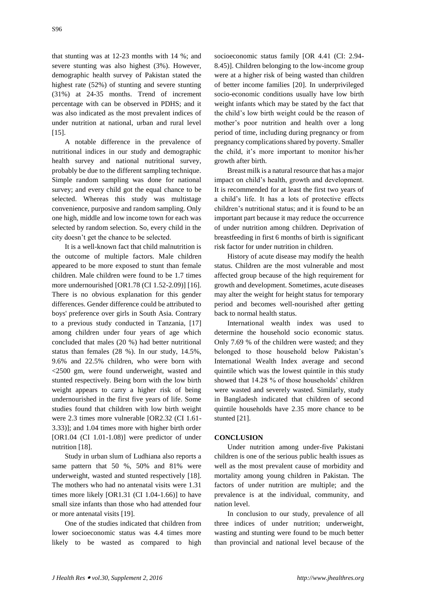that stunting was at 12-23 months with 14 %; and severe stunting was also highest (3%). However, demographic health survey of Pakistan stated the highest rate (52%) of stunting and severe stunting (31%) at 24-35 months. Trend of increment percentage with can be observed in PDHS; and it was also indicated as the most prevalent indices of under nutrition at national, urban and rural level [15].

A notable difference in the prevalence of nutritional indices in our study and demographic health survey and national nutritional survey, probably be due to the different sampling technique. Simple random sampling was done for national survey; and every child got the equal chance to be selected. Whereas this study was multistage convenience, purposive and random sampling. Only one high, middle and low income town for each was selected by random selection. So, every child in the city doesn't get the chance to be selected.

It is a well-known fact that child malnutrition is the outcome of multiple factors. Male children appeared to be more exposed to stunt than female children. Male children were found to be 1.7 times more undernourished [OR1.78 (CI 1.52-2.09)] [16]. There is no obvious explanation for this gender differences. Gender difference could be attributed to boys' preference over girls in South Asia. Contrary to a previous study conducted in Tanzania, [17] among children under four years of age which concluded that males (20 %) had better nutritional status than females (28 %). In our study, 14.5%, 9.6% and 22.5% children, who were born with <2500 gm, were found underweight, wasted and stunted respectively. Being born with the low birth weight appears to carry a higher risk of being undernourished in the first five years of life. Some studies found that children with low birth weight were 2.3 times more vulnerable [OR2.32 (CI 1.61- 3.33)]; and 1.04 times more with higher birth order [OR1.04 (CI 1.01-1.08)] were predictor of under nutrition [18].

Study in urban slum of Ludhiana also reports a same pattern that 50 %, 50% and 81% were underweight, wasted and stunted respectively [18]. The mothers who had no antenatal visits were 1.31 times more likely [OR1.31 (CI 1.04-1.66)] to have small size infants than those who had attended four or more antenatal visits [19].

One of the studies indicated that children from lower socioeconomic status was 4.4 times more likely to be wasted as compared to high

socioeconomic status family [OR 4.41 (CI: 2.94- 8.45)]. Children belonging to the low-income group were at a higher risk of being wasted than children of better income families [20]. In underprivileged socio-economic conditions usually have low birth weight infants which may be stated by the fact that the child's low birth weight could be the reason of mother's poor nutrition and health over a long period of time, including during pregnancy or from pregnancy complications shared by poverty. Smaller the child, it's more important to monitor his/her growth after birth.

Breast milk is a natural resource that has a major impact on child's health, growth and development. It is recommended for at least the first two years of a child's life. It has a lots of protective effects children's nutritional status; and it is found to be an important part because it may reduce the occurrence of under nutrition among children. Deprivation of breastfeeding in first 6 months of birth is significant risk factor for under nutrition in children.

History of acute disease may modify the health status. Children are the most vulnerable and most affected group because of the high requirement for growth and development. Sometimes, acute diseases may alter the weight for height status for temporary period and becomes well-nourished after getting back to normal health status.

International wealth index was used to determine the household socio economic status. Only 7.69 % of the children were wasted; and they belonged to those household below Pakistan's International Wealth Index average and second quintile which was the lowest quintile in this study showed that 14.28 % of those households' children were wasted and severely wasted. Similarly, study in Bangladesh indicated that children of second quintile households have 2.35 more chance to be stunted [21].

# **CONCLUSION**

Under nutrition among under-five Pakistani children is one of the serious public health issues as well as the most prevalent cause of morbidity and mortality among young children in Pakistan. The factors of under nutrition are multiple; and the prevalence is at the individual, community, and nation level.

In conclusion to our study, prevalence of all three indices of under nutrition; underweight, wasting and stunting were found to be much better than provincial and national level because of the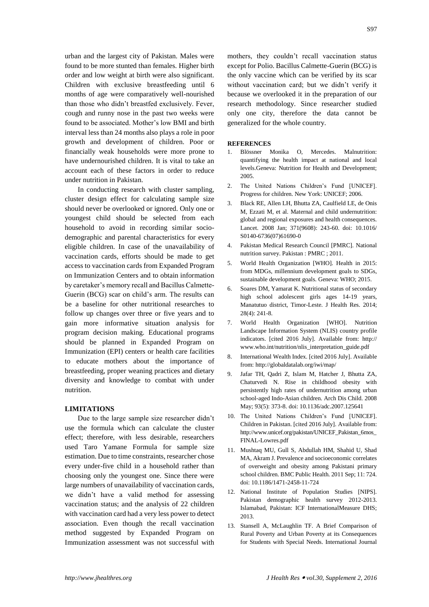urban and the largest city of Pakistan. Males were found to be more stunted than females. Higher birth order and low weight at birth were also significant. Children with exclusive breastfeeding until 6 months of age were comparatively well-nourished than those who didn't breastfed exclusively. Fever, cough and runny nose in the past two weeks were found to be associated. Mother's low BMI and birth interval less than 24 months also plays a role in poor growth and development of children. Poor or financially weak households were more prone to have undernourished children. It is vital to take an account each of these factors in order to reduce under nutrition in Pakistan.

In conducting research with cluster sampling, cluster design effect for calculating sample size should never be overlooked or ignored. Only one or youngest child should be selected from each household to avoid in recording similar sociodemographic and parental characteristics for every eligible children. In case of the unavailability of vaccination cards, efforts should be made to get access to vaccination cards from Expanded Program on Immunization Centers and to obtain information by caretaker's memory recall and Bacillus Calmette-Guerin (BCG) scar on child's arm. The results can be a baseline for other nutritional researches to follow up changes over three or five years and to gain more informative situation analysis for program decision making. Educational programs should be planned in Expanded Program on Immunization (EPI) centers or health care facilities to educate mothers about the importance of breastfeeding, proper weaning practices and dietary diversity and knowledge to combat with under nutrition.

## **LIMITATIONS**

Due to the large sample size researcher didn't use the formula which can calculate the cluster effect; therefore, with less desirable, researchers used Taro Yamane Formula for sample size estimation. Due to time constraints, researcher chose every under-five child in a household rather than choosing only the youngest one. Since there were large numbers of unavailability of vaccination cards, we didn't have a valid method for assessing vaccination status; and the analysis of 22 children with vaccination card had a very less power to detect association. Even though the recall vaccination method suggested by Expanded Program on Immunization assessment was not successful with

mothers, they couldn't recall vaccination status except for Polio. Bacillus Calmette-Guerin (BCG) is the only vaccine which can be verified by its scar without vaccination card; but we didn't verify it because we overlooked it in the preparation of our research methodology. Since researcher studied only one city, therefore the data cannot be generalized for the whole country.

# **REFERENCES**

- 1. Blössner Monika O, Mercedes. Malnutrition: quantifying the health impact at national and local levels.Geneva: Nutrition for Health and Development; 2005.
- 2. The United Nations Children's Fund [UNICEF]. Progress for children. New York: UNICEF; 2006.
- 3. Black RE, Allen LH, Bhutta ZA, Caulfield LE, de Onis M, Ezzati M, et al. Maternal and child undernutrition: global and regional exposures and health consequences. Lancet. 2008 Jan; 371(9608): 243-60. doi: 10.1016/ S0140-6736(07)61690-0
- 4. Pakistan Medical Research Council [PMRC]. National nutrition survey. Pakistan : PMRC ; 2011.
- 5. World Health Organization [WHO]. Health in 2015: from MDGs, millennium development goals to SDGs, sustainable development goals. Geneva: WHO; 2015.
- 6. Soares DM, Yamarat K. Nutritional status of secondary high school adolescent girls ages 14-19 years, Manatutuo district, Timor-Leste. J Health Res. 2014; 28(4): 241-8.
- 7. World Health Organization [WHO]. Nutrition Landscape Information System (NLIS) country profile indicators. [cited 2016 July]. Available from: http:// www.who.int/nutrition/nlis\_interpretation\_guide.pdf
- 8. International Wealth Index. [cited 2016 July]. Available from: http://globaldatalab.org/iwi/map/
- 9. Jafar TH, Qadri Z, Islam M, Hatcher J, Bhutta ZA, Chaturvedi N. Rise in childhood obesity with persistently high rates of undernutrition among urban school-aged Indo-Asian children. Arch Dis Child. 2008 May; 93(5): 373-8. doi: 10.1136/adc.2007.125641
- 10. The United Nations Children's Fund [UNICEF]. Children in Pakistan. [cited 2016 July]. Available from: http://www.unicef.org/pakistan/UNICEF\_Pakistan\_6mos\_ FINAL-Lowres.pdf
- 11. Mushtaq MU, Gull S, Abdullah HM, Shahid U, Shad MA, Akram J. Prevalence and socioeconomic correlates of overweight and obesity among Pakistani primary school children. BMC Public Health. 2011 Sep; 11: 724. doi: 10.1186/1471-2458-11-724
- 12. National Institute of Population Studies [NIPS]. Pakistan demographic health survey 2012-2013. Islamabad, Pakistan: ICF InternationalMeasure DHS; 2013.
- 13. Stansell A, McLaughlin TF. A Brief Comparison of Rural Poverty and Urban Poverty at its Consequences for Students with Special Needs. International Journal